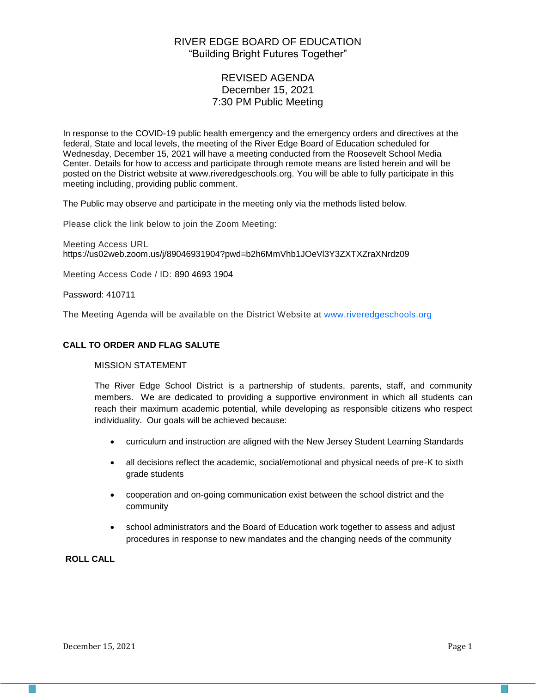# RIVER EDGE BOARD OF EDUCATION "Building Bright Futures Together"

# REVISED AGENDA December 15, 2021 7:30 PM Public Meeting

In response to the COVID-19 public health emergency and the emergency orders and directives at the federal, State and local levels, the meeting of the River Edge Board of Education scheduled for Wednesday, December 15, 2021 will have a meeting conducted from the Roosevelt School Media Center. Details for how to access and participate through remote means are listed herein and will be posted on the District website at www.riveredgeschools.org. You will be able to fully participate in this meeting including, providing public comment.

The Public may observe and participate in the meeting only via the methods listed below.

Please click the link below to join the Zoom Meeting:

Meeting Access URL https://us02web.zoom.us/j/89046931904?pwd=b2h6MmVhb1JOeVl3Y3ZXTXZraXNrdz09

Meeting Access Code / ID: 890 4693 1904

Password: 410711

The Meeting Agenda will be available on the District Website at www[.riveredgeschools.org](http://riveredgeschools.org/)

#### **CALL TO ORDER AND FLAG SALUTE**

## MISSION STATEMENT

The River Edge School District is a partnership of students, parents, staff, and community members. We are dedicated to providing a supportive environment in which all students can reach their maximum academic potential, while developing as responsible citizens who respect individuality. Our goals will be achieved because:

- curriculum and instruction are aligned with the New Jersey Student Learning Standards
- all decisions reflect the academic, social/emotional and physical needs of pre-K to sixth grade students
- cooperation and on-going communication exist between the school district and the community
- school administrators and the Board of Education work together to assess and adjust procedures in response to new mandates and the changing needs of the community

# **ROLL CALL**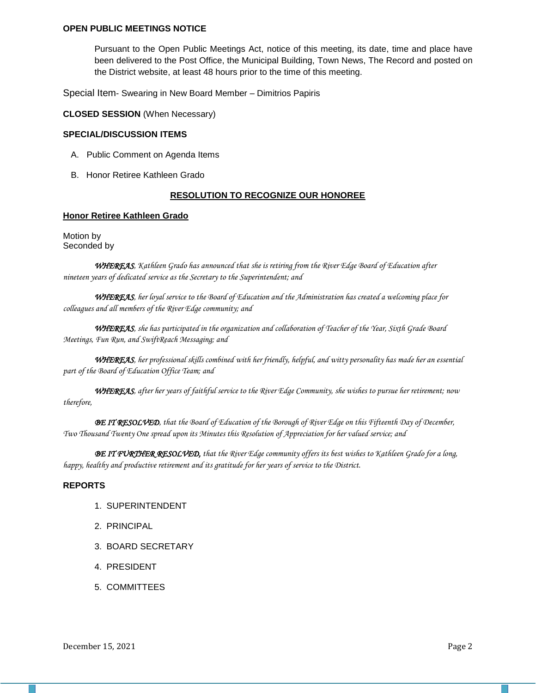#### **OPEN PUBLIC MEETINGS NOTICE**

Pursuant to the Open Public Meetings Act, notice of this meeting, its date, time and place have been delivered to the Post Office, the Municipal Building, Town News, The Record and posted on the District website, at least 48 hours prior to the time of this meeting.

Special Item- Swearing in New Board Member – Dimitrios Papiris

**CLOSED SESSION** (When Necessary)

#### **SPECIAL/DISCUSSION ITEMS**

- A. Public Comment on Agenda Items
- B. Honor Retiree Kathleen Grado

#### **RESOLUTION TO RECOGNIZE OUR HONOREE**

#### **Honor Retiree Kathleen Grado**

Motion by Seconded by

*WHEREAS, Kathleen Grado has announced that she is retiring from the River Edge Board of Education after nineteen years of dedicated service as the Secretary to the Superintendent; and*

*WHEREAS, her loyal service to the Board of Education and the Administration has created a welcoming place for colleagues and all members of the River Edge community; and*

*WHEREAS, she has participated in the organization and collaboration of Teacher of the Year, Sixth Grade Board Meetings, Fun Run, and SwiftReach Messaging; and*

*WHEREAS, her professional skills combined with her friendly, helpful, and witty personality has made her an essential part of the Board of Education Office Team; and*

*WHEREAS, after her years of faithful service to the River Edge Community, she wishes to pursue her retirement; now therefore,*

*BE IT RESOLVED, that the Board of Education of the Borough of River Edge on this Fifteenth Day of December, Two Thousand Twenty One spread upon its Minutes this Resolution of Appreciation for her valued service; and*

*BE IT FURTHER RESOLVED, that the River Edge community offers its best wishes to Kathleen Grado for a long, happy, healthy and productive retirement and its gratitude for her years of service to the District.*

#### **REPORTS**

- 1. SUPERINTENDENT
- 2. PRINCIPAL
- 3. BOARD SECRETARY
- 4. PRESIDENT
- 5. COMMITTEES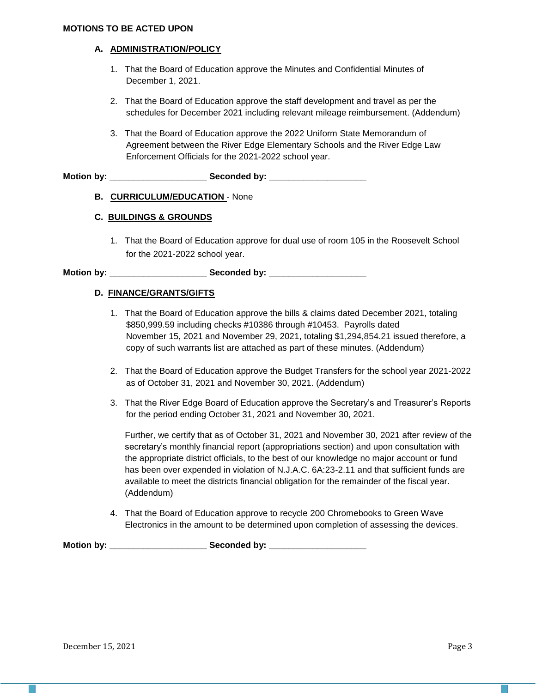#### **MOTIONS TO BE ACTED UPON**

### **A. ADMINISTRATION/POLICY**

- 1. That the Board of Education approve the Minutes and Confidential Minutes of December 1, 2021.
- 2. That the Board of Education approve the staff development and travel as per the schedules for December 2021 including relevant mileage reimbursement. (Addendum)
- 3. That the Board of Education approve the 2022 Uniform State Memorandum of Agreement between the River Edge Elementary Schools and the River Edge Law Enforcement Officials for the 2021-2022 school year.

**Motion by: \_\_\_\_\_\_\_\_\_\_\_\_\_\_\_\_\_\_\_\_ Seconded by: \_\_\_\_\_\_\_\_\_\_\_\_\_\_\_\_\_\_\_\_**

# **B. CURRICULUM/EDUCATION** - None

## **C. BUILDINGS & GROUNDS**

1. That the Board of Education approve for dual use of room 105 in the Roosevelt School for the 2021-2022 school year.

**Motion by: \_\_\_\_\_\_\_\_\_\_\_\_\_\_\_\_\_\_\_\_ Seconded by: \_\_\_\_\_\_\_\_\_\_\_\_\_\_\_\_\_\_\_\_**

## **D. FINANCE/GRANTS/GIFTS**

- 1. That the Board of Education approve the bills & claims dated December 2021, totaling \$850,999.59 including checks #10386 through #10453. Payrolls dated November 15, 2021 and November 29, 2021, totaling \$1,294,854.21 issued therefore, a copy of such warrants list are attached as part of these minutes. (Addendum)
- 2. That the Board of Education approve the Budget Transfers for the school year 2021-2022 as of October 31, 2021 and November 30, 2021. (Addendum)
- 3. That the River Edge Board of Education approve the Secretary's and Treasurer's Reports for the period ending October 31, 2021 and November 30, 2021.

Further, we certify that as of October 31, 2021 and November 30, 2021 after review of the secretary's monthly financial report (appropriations section) and upon consultation with the appropriate district officials, to the best of our knowledge no major account or fund has been over expended in violation of N.J.A.C. 6A:23-2.11 and that sufficient funds are available to meet the districts financial obligation for the remainder of the fiscal year. (Addendum)

4. That the Board of Education approve to recycle 200 Chromebooks to Green Wave Electronics in the amount to be determined upon completion of assessing the devices.

Motion by: \_\_\_\_\_\_\_\_\_\_\_\_\_\_\_\_\_\_\_\_\_\_\_\_ Seconded by: \_\_\_\_\_\_\_\_\_\_\_\_\_\_\_\_\_\_\_\_\_\_\_\_\_\_\_\_\_\_\_\_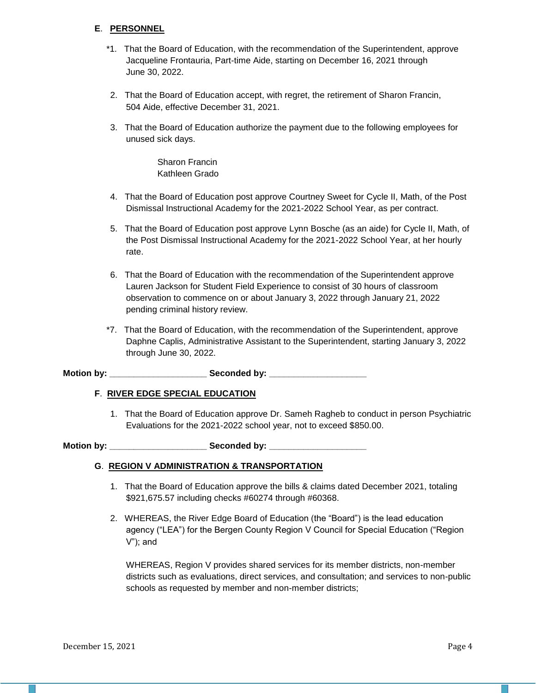# **E**. **PERSONNEL**

- \*1. That the Board of Education, with the recommendation of the Superintendent, approve Jacqueline Frontauria, Part-time Aide, starting on December 16, 2021 through June 30, 2022.
- 2. That the Board of Education accept, with regret, the retirement of Sharon Francin, 504 Aide, effective December 31, 2021.
- 3. That the Board of Education authorize the payment due to the following employees for unused sick days.

Sharon Francin Kathleen Grado

- 4. That the Board of Education post approve Courtney Sweet for Cycle II, Math, of the Post Dismissal Instructional Academy for the 2021-2022 School Year, as per contract.
- 5. That the Board of Education post approve Lynn Bosche (as an aide) for Cycle II, Math, of the Post Dismissal Instructional Academy for the 2021-2022 School Year, at her hourly rate.
- 6. That the Board of Education with the recommendation of the Superintendent approve Lauren Jackson for Student Field Experience to consist of 30 hours of classroom observation to commence on or about January 3, 2022 through January 21, 2022 pending criminal history review.
- \*7. That the Board of Education, with the recommendation of the Superintendent, approve Daphne Caplis, Administrative Assistant to the Superintendent, starting January 3, 2022 through June 30, 2022.

**Motion by: \_\_\_\_\_\_\_\_\_\_\_\_\_\_\_\_\_\_\_\_ Seconded by: \_\_\_\_\_\_\_\_\_\_\_\_\_\_\_\_\_\_\_\_**

#### **F**. **RIVER EDGE SPECIAL EDUCATION**

1. That the Board of Education approve Dr. Sameh Ragheb to conduct in person Psychiatric Evaluations for the 2021-2022 school year, not to exceed \$850.00.

**Motion by: \_\_\_\_\_\_\_\_\_\_\_\_\_\_\_\_\_\_\_\_ Seconded by: \_\_\_\_\_\_\_\_\_\_\_\_\_\_\_\_\_\_\_\_**

#### **G**. **REGION V ADMINISTRATION & TRANSPORTATION**

- 1. That the Board of Education approve the bills & claims dated December 2021, totaling \$921,675.57 including checks #60274 through #60368.
- 2. WHEREAS, the River Edge Board of Education (the "Board") is the lead education agency ("LEA") for the Bergen County Region V Council for Special Education ("Region V"); and

WHEREAS, Region V provides shared services for its member districts, non-member districts such as evaluations, direct services, and consultation; and services to non-public schools as requested by member and non-member districts;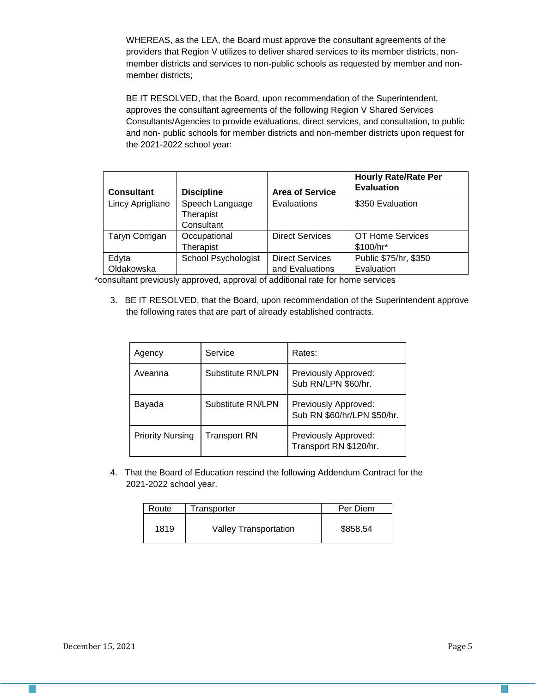WHEREAS, as the LEA, the Board must approve the consultant agreements of the providers that Region V utilizes to deliver shared services to its member districts, nonmember districts and services to non-public schools as requested by member and nonmember districts;

BE IT RESOLVED, that the Board, upon recommendation of the Superintendent, approves the consultant agreements of the following Region V Shared Services Consultants/Agencies to provide evaluations, direct services, and consultation, to public and non- public schools for member districts and non-member districts upon request for the 2021-2022 school year:

| <b>Consultant</b>   | <b>Discipline</b>                       | <b>Area of Service</b>                    | <b>Hourly Rate/Rate Per</b><br><b>Evaluation</b> |
|---------------------|-----------------------------------------|-------------------------------------------|--------------------------------------------------|
| Lincy Aprigliano    | Speech Language<br>Therapist            | Evaluations                               | \$350 Evaluation                                 |
| Taryn Corrigan      | Consultant<br>Occupational<br>Therapist | <b>Direct Services</b>                    | OT Home Services<br>\$100/hr*                    |
| Edyta<br>Oldakowska | <b>School Psychologist</b>              | <b>Direct Services</b><br>and Evaluations | Public \$75/hr, \$350<br>Evaluation              |

\*consultant previously approved, approval of additional rate for home services

3. BE IT RESOLVED, that the Board, upon recommendation of the Superintendent approve the following rates that are part of already established contracts.

| Agency                  | Service             | Rates:                                              |  |
|-------------------------|---------------------|-----------------------------------------------------|--|
| Aveanna                 | Substitute RN/LPN   | Previously Approved:<br>Sub RN/LPN \$60/hr.         |  |
| Bayada                  | Substitute RN/LPN   | Previously Approved:<br>Sub RN \$60/hr/LPN \$50/hr. |  |
| <b>Priority Nursing</b> | <b>Transport RN</b> | Previously Approved:<br>Transport RN \$120/hr.      |  |

4. That the Board of Education rescind the following Addendum Contract for the 2021-2022 school year.

| Route | Transporter                  | Per Diem |  |
|-------|------------------------------|----------|--|
| 1819  | <b>Valley Transportation</b> | \$858.54 |  |